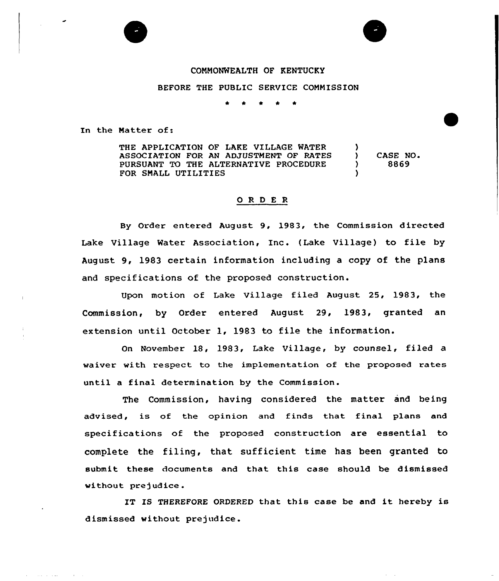## CONNONWEALTH OF KENTUCKY

g

BEFORE THE PUBLIC SERVICE COMMISSION

\* \* \* \* \*

In the Matter of:

THE APPLICATION OF LAKE VILLAGE WATER ASSOCIATION FOR AN ADJUSTMENT OF RATES PURSUANT TO THE ALTERNATIVE PROCEDURE FOR SNALL UTILITIES )<br>) ) CASE NO. ) 8869 )

## 0 <sup>R</sup> <sup>D</sup> E <sup>R</sup>

By Order entered August 9, 1983, the Commission directed lake Village Water Association, Inc. (Lake Village) to file by August 9, 1983 certain information including a copy of the plans and specifications of the proposed construction.

Upon motion of Lake Village filed August 25, 1983, the Commission, by Order entered August 29, 1983, granted an extension until October 1, 1983 to file the information.

On November 18, 1983, Lake Village, by counsel, filed a waiver with respect to the implementation of the proposed rates until a final determination by the Commission.

The Commission, having considered the matter and being advised, is of the opinion and finds that final plans and specifications of the proposed construction are essential to complete the filing, that sufficient time has been granted to submit these documents and that this case should be dismissed without prejudice.

IT IS THEREFORE ORDERED that this case be and it hereby is dismissed without prejudice.